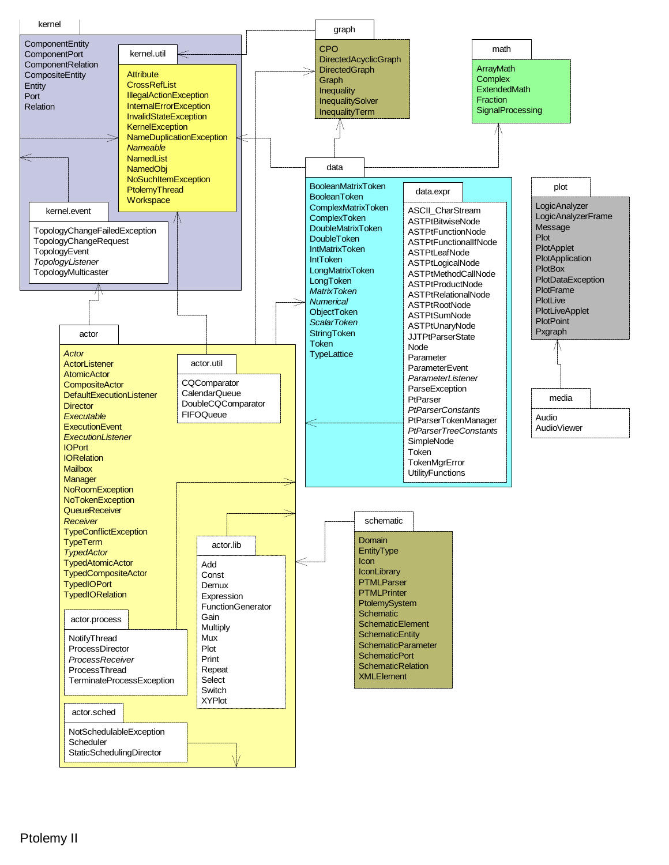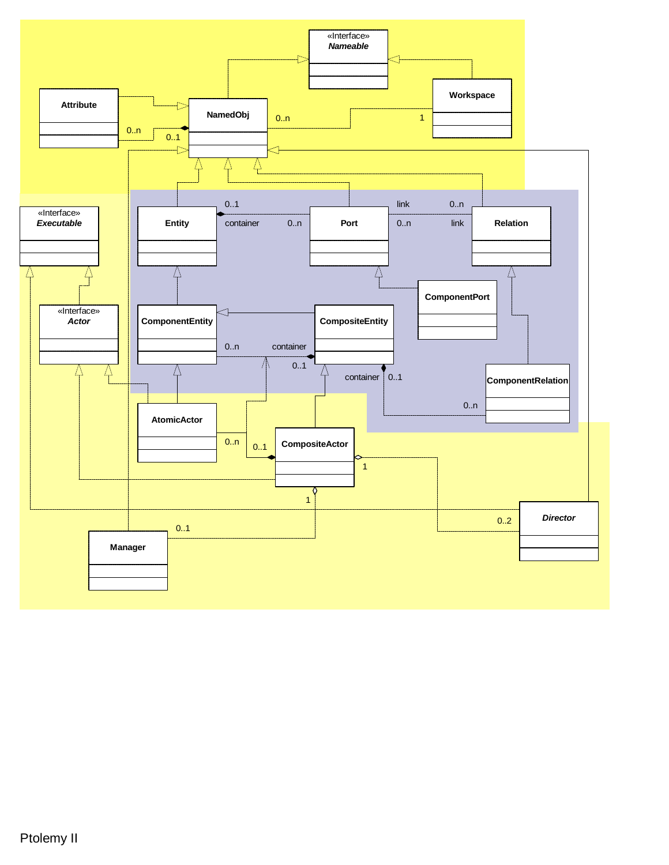